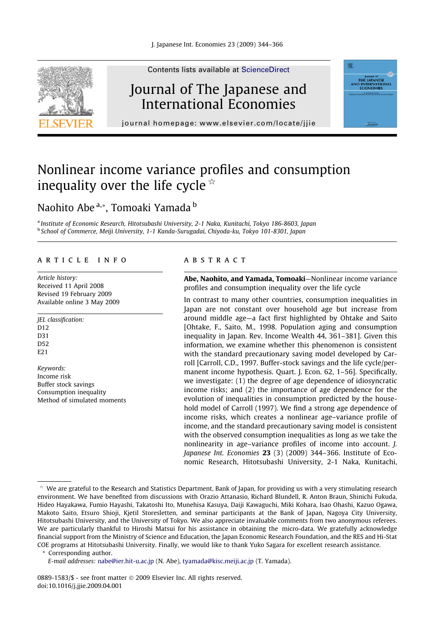

Contents lists available at [ScienceDirect](http://www.sciencedirect.com/science/journal/08891583)

## Journal of The Japanese and International Economies



journal homepage: [www.elsevier.com/locate/jjie](http://www.elsevier.com/locate/jjie)

# Nonlinear income variance profiles and consumption inequality over the life cycle  $\dot{\alpha}$

### Naohito Abe<sup>a,\*</sup>, Tomoaki Yamada<sup>b</sup>

<sup>a</sup> Institute of Economic Research, Hitotsubashi University, 2-1 Naka, Kunitachi, Tokyo 186-8603, Japan <sup>b</sup> School of Commerce, Meiji University, 1-1 Kanda-Surugadai, Chiyoda-ku, Tokyo 101-8301, Japan

#### article info

Article history: Received 11 April 2008 Revised 19 February 2009 Available online 3 May 2009

JEL classification: D<sub>12</sub> D31 D52 E21

Keywords: Income risk Buffer stock savings Consumption inequality Method of simulated moments

#### **ABSTRACT**

Abe, Naohito, and Yamada, Tomoaki—Nonlinear income variance profiles and consumption inequality over the life cycle

In contrast to many other countries, consumption inequalities in Japan are not constant over household age but increase from around middle age—a fact first highlighted by Ohtake and Saito [Ohtake, F., Saito, M., 1998. Population aging and consumption inequality in Japan. Rev. Income Wealth 44, 361–381]. Given this information, we examine whether this phenomenon is consistent with the standard precautionary saving model developed by Carroll [Carroll, C.D., 1997. Buffer-stock savings and the life cycle/permanent income hypothesis. Quart. J. Econ. 62, 1–56]. Specifically, we investigate: (1) the degree of age dependence of idiosyncratic income risks; and (2) the importance of age dependence for the evolution of inequalities in consumption predicted by the household model of Carroll (1997). We find a strong age dependence of income risks, which creates a nonlinear age–variance profile of income, and the standard precautionary saving model is consistent with the observed consumption inequalities as long as we take the nonlinearity in age–variance profiles of income into account. J. Japanese Int. Economies 23 (3) (2009) 344–366. Institute of Economic Research, Hitotsubashi University, 2-1 Naka, Kunitachi,

Corresponding author.

0889-1583/\$ - see front matter © 2009 Elsevier Inc. All rights reserved. doi:10.1016/j.jjie.2009.04.001

 $*$  We are grateful to the Research and Statistics Department, Bank of Japan, for providing us with a very stimulating research environment. We have benefited from discussions with Orazio Attanasio, Richard Blundell, R. Anton Braun, Shinichi Fukuda, Hideo Hayakawa, Fumio Hayashi, Takatoshi Ito, Munehisa Kasuya, Daiji Kawaguchi, Miki Kohara, Isao Ohashi, Kazuo Ogawa, Makoto Saito, Etsuro Shioji, Kjetil Storesletten, and seminar participants at the Bank of Japan, Nagoya City University, Hitotsubashi University, and the University of Tokyo. We also appreciate invaluable comments from two anonymous referees. We are particularly thankful to Hiroshi Matsui for his assistance in obtaining the micro-data. We gratefully acknowledge financial support from the Ministry of Science and Education, the Japan Economic Research Foundation, and the RES and Hi-Stat COE programs at Hitotsubashi University. Finally, we would like to thank Yuko Sagara for excellent research assistance.

E-mail addresses: [nabe@ier.hit-u.ac.jp](mailto:nabe@ier.hit-u.ac.jp) (N. Abe), [tyamada@kisc.meiji.ac.jp](mailto:tyamada@ris.ac.jp) (T. Yamada).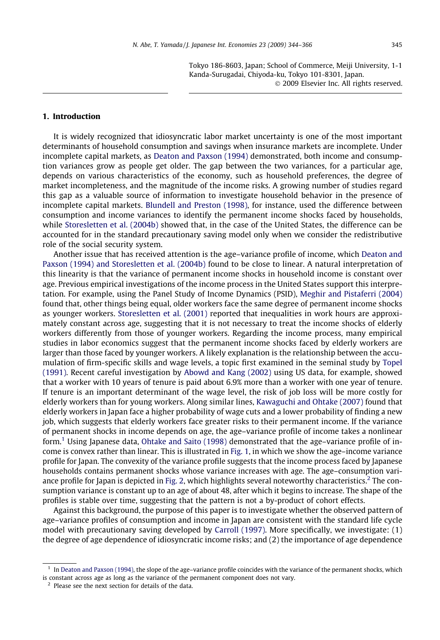Tokyo 186-8603, Japan; School of Commerce, Meiji University, 1-1 Kanda-Surugadai, Chiyoda-ku, Tokyo 101-8301, Japan. © 2009 Elsevier Inc. All rights reserved.

#### 1. Introduction

It is widely recognized that idiosyncratic labor market uncertainty is one of the most important determinants of household consumption and savings when insurance markets are incomplete. Under incomplete capital markets, as [Deaton and Paxson \(1994\)](#page--1-0) demonstrated, both income and consumption variances grow as people get older. The gap between the two variances, for a particular age, depends on various characteristics of the economy, such as household preferences, the degree of market incompleteness, and the magnitude of the income risks. A growing number of studies regard this gap as a valuable source of information to investigate household behavior in the presence of incomplete capital markets. [Blundell and Preston \(1998\)](#page--1-0), for instance, used the difference between consumption and income variances to identify the permanent income shocks faced by households, while [Storesletten et al. \(2004b\)](#page--1-0) showed that, in the case of the United States, the difference can be accounted for in the standard precautionary saving model only when we consider the redistributive role of the social security system.

Another issue that has received attention is the age–variance profile of income, which [Deaton and](#page--1-0) [Paxson \(1994\) and Storesletten et al. \(2004b\)](#page--1-0) found to be close to linear. A natural interpretation of this linearity is that the variance of permanent income shocks in household income is constant over age. Previous empirical investigations of the income process in the United States support this interpretation. For example, using the Panel Study of Income Dynamics (PSID), [Meghir and Pistaferri \(2004\)](#page--1-0) found that, other things being equal, older workers face the same degree of permanent income shocks as younger workers. [Storesletten et al. \(2001\)](#page--1-0) reported that inequalities in work hours are approximately constant across age, suggesting that it is not necessary to treat the income shocks of elderly workers differently from those of younger workers. Regarding the income process, many empirical studies in labor economics suggest that the permanent income shocks faced by elderly workers are larger than those faced by younger workers. A likely explanation is the relationship between the accumulation of firm-specific skills and wage levels, a topic first examined in the seminal study by [Topel](#page--1-0) [\(1991\)](#page--1-0). Recent careful investigation by [Abowd and Kang \(2002\)](#page--1-0) using US data, for example, showed that a worker with 10 years of tenure is paid about 6.9% more than a worker with one year of tenure. If tenure is an important determinant of the wage level, the risk of job loss will be more costly for elderly workers than for young workers. Along similar lines, [Kawaguchi and Ohtake \(2007\)](#page--1-0) found that elderly workers in Japan face a higher probability of wage cuts and a lower probability of finding a new job, which suggests that elderly workers face greater risks to their permanent income. If the variance of permanent shocks in income depends on age, the age–variance profile of income takes a nonlinear form.<sup>1</sup> Using Japanese data, [Ohtake and Saito \(1998\)](#page--1-0) demonstrated that the age–variance profile of income is convex rather than linear. This is illustrated in [Fig. 1,](#page--1-0) in which we show the age–income variance profile for Japan. The convexity of the variance profile suggests that the income process faced by Japanese households contains permanent shocks whose variance increases with age. The age–consumption vari-ance profile for Japan is depicted in [Fig. 2](#page--1-0), which highlights several noteworthy characteristics.<sup>2</sup> The consumption variance is constant up to an age of about 48, after which it begins to increase. The shape of the profiles is stable over time, suggesting that the pattern is not a by-product of cohort effects.

Against this background, the purpose of this paper is to investigate whether the observed pattern of age–variance profiles of consumption and income in Japan are consistent with the standard life cycle model with precautionary saving developed by [Carroll \(1997\).](#page--1-0) More specifically, we investigate: (1) the degree of age dependence of idiosyncratic income risks; and (2) the importance of age dependence

 $<sup>1</sup>$  In [Deaton and Paxson \(1994\),](#page--1-0) the slope of the age–variance profile coincides with the variance of the permanent shocks, which</sup> is constant across age as long as the variance of the permanent component does not vary.

<sup>2</sup> Please see the next section for details of the data.